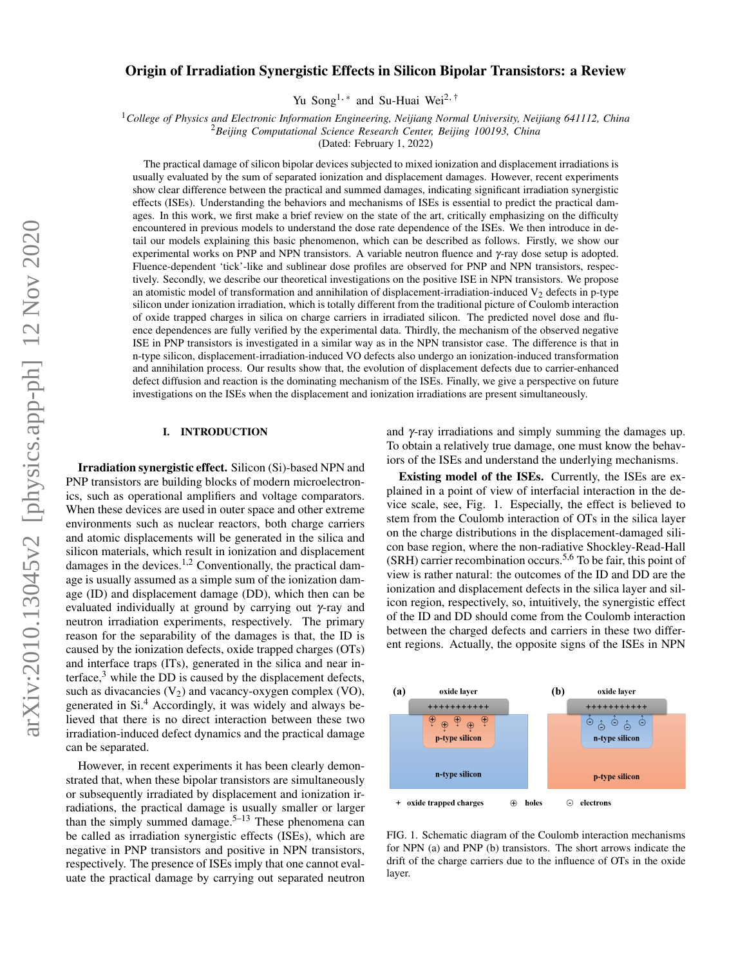# Origin of Irradiation Synergistic Effects in Silicon Bipolar Transistors: a Review

Yu Song<sup>1,\*</sup> and Su-Huai Wei<sup>2,†</sup>

<sup>1</sup>*College of Physics and Electronic Information Engineering, Neijiang Normal University, Neijiang 641112, China*

<sup>2</sup>*Beijing Computational Science Research Center, Beijing 100193, China*

(Dated: February 1, 2022)

The practical damage of silicon bipolar devices subjected to mixed ionization and displacement irradiations is usually evaluated by the sum of separated ionization and displacement damages. However, recent experiments show clear difference between the practical and summed damages, indicating significant irradiation synergistic effects (ISEs). Understanding the behaviors and mechanisms of ISEs is essential to predict the practical damages. In this work, we first make a brief review on the state of the art, critically emphasizing on the difficulty encountered in previous models to understand the dose rate dependence of the ISEs. We then introduce in detail our models explaining this basic phenomenon, which can be described as follows. Firstly, we show our experimental works on PNP and NPN transistors. A variable neutron fluence and  $\gamma$ -ray dose setup is adopted. Fluence-dependent 'tick'-like and sublinear dose profiles are observed for PNP and NPN transistors, respectively. Secondly, we describe our theoretical investigations on the positive ISE in NPN transistors. We propose an atomistic model of transformation and annihilation of displacement-irradiation-induced  $V_2$  defects in p-type silicon under ionization irradiation, which is totally different from the traditional picture of Coulomb interaction of oxide trapped charges in silica on charge carriers in irradiated silicon. The predicted novel dose and fluence dependences are fully verified by the experimental data. Thirdly, the mechanism of the observed negative ISE in PNP transistors is investigated in a similar way as in the NPN transistor case. The difference is that in n-type silicon, displacement-irradiation-induced VO defects also undergo an ionization-induced transformation and annihilation process. Our results show that, the evolution of displacement defects due to carrier-enhanced defect diffusion and reaction is the dominating mechanism of the ISEs. Finally, we give a perspective on future investigations on the ISEs when the displacement and ionization irradiations are present simultaneously.

## I. INTRODUCTION

Irradiation synergistic effect. Silicon (Si)-based NPN and PNP transistors are building blocks of modern microelectronics, such as operational amplifiers and voltage comparators. When these devices are used in outer space and other extreme environments such as nuclear reactors, both charge carriers and atomic displacements will be generated in the silica and silicon materials, which result in ionization and displacement damages in the devices.<sup>1,2</sup> Conventionally, the practical damage is usually assumed as a simple sum of the ionization damage (ID) and displacement damage (DD), which then can be evaluated individually at ground by carrying out γ-ray and neutron irradiation experiments, respectively. The primary reason for the separability of the damages is that, the ID is caused by the ionization defects, oxide trapped charges (OTs) and interface traps (ITs), generated in the silica and near interface,<sup>3</sup> while the DD is caused by the displacement defects, such as divacancies  $(V_2)$  and vacancy-oxygen complex (VO), generated in Si.<sup>4</sup> Accordingly, it was widely and always believed that there is no direct interaction between these two irradiation-induced defect dynamics and the practical damage can be separated.

However, in recent experiments it has been clearly demonstrated that, when these bipolar transistors are simultaneously or subsequently irradiated by displacement and ionization irradiations, the practical damage is usually smaller or larger than the simply summed damage.<sup>5–13</sup> These phenomena can be called as irradiation synergistic effects (ISEs), which are negative in PNP transistors and positive in NPN transistors, respectively. The presence of ISEs imply that one cannot evaluate the practical damage by carrying out separated neutron

and  $\gamma$ -ray irradiations and simply summing the damages up. To obtain a relatively true damage, one must know the behaviors of the ISEs and understand the underlying mechanisms.

Existing model of the ISEs. Currently, the ISEs are explained in a point of view of interfacial interaction in the device scale, see, Fig. 1. Especially, the effect is believed to stem from the Coulomb interaction of OTs in the silica layer on the charge distributions in the displacement-damaged silicon base region, where the non-radiative Shockley-Read-Hall (SRH) carrier recombination occurs.5,6 To be fair, this point of view is rather natural: the outcomes of the ID and DD are the ionization and displacement defects in the silica layer and silicon region, respectively, so, intuitively, the synergistic effect of the ID and DD should come from the Coulomb interaction between the charged defects and carriers in these two different regions. Actually, the opposite signs of the ISEs in NPN



FIG. 1. Schematic diagram of the Coulomb interaction mechanisms for NPN (a) and PNP (b) transistors. The short arrows indicate the drift of the charge carriers due to the influence of OTs in the oxide layer.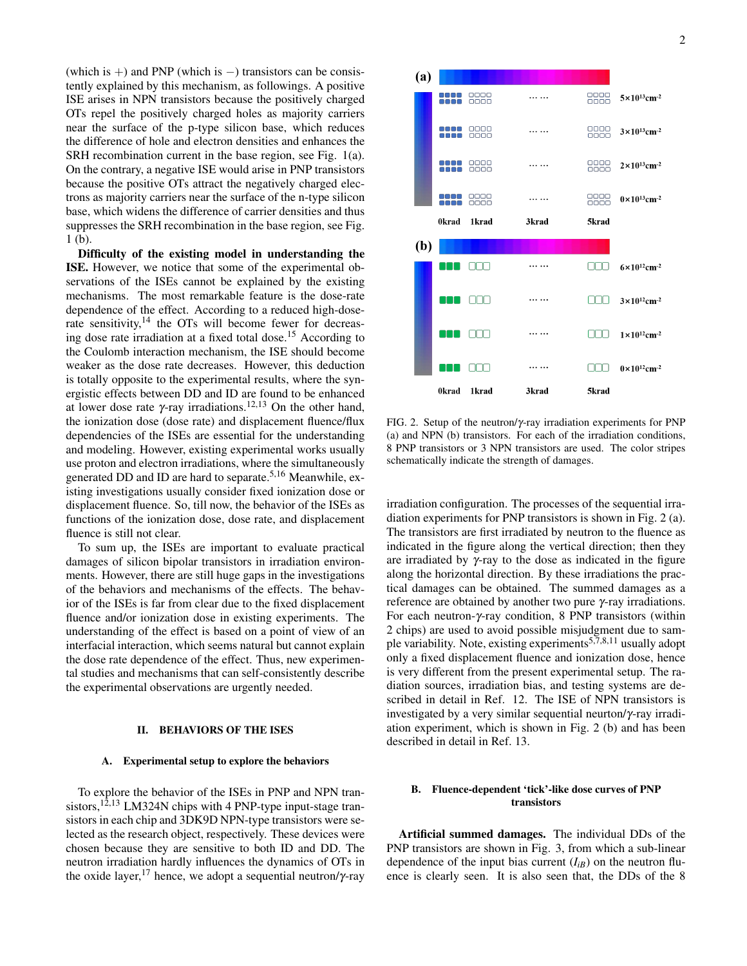(which is +) and PNP (which is  $-$ ) transistors can be consistently explained by this mechanism, as followings. A positive ISE arises in NPN transistors because the positively charged OTs repel the positively charged holes as majority carriers near the surface of the p-type silicon base, which reduces the difference of hole and electron densities and enhances the SRH recombination current in the base region, see Fig. 1(a). On the contrary, a negative ISE would arise in PNP transistors because the positive OTs attract the negatively charged electrons as majority carriers near the surface of the n-type silicon base, which widens the difference of carrier densities and thus suppresses the SRH recombination in the base region, see Fig. 1 (b).

Difficulty of the existing model in understanding the ISE. However, we notice that some of the experimental observations of the ISEs cannot be explained by the existing mechanisms. The most remarkable feature is the dose-rate dependence of the effect. According to a reduced high-doserate sensitivity,<sup>14</sup> the OTs will become fewer for decreasing dose rate irradiation at a fixed total dose.<sup>15</sup> According to the Coulomb interaction mechanism, the ISE should become weaker as the dose rate decreases. However, this deduction is totally opposite to the experimental results, where the synergistic effects between DD and ID are found to be enhanced at lower dose rate γ-ray irradiations.<sup>12,13</sup> On the other hand, the ionization dose (dose rate) and displacement fluence/flux dependencies of the ISEs are essential for the understanding and modeling. However, existing experimental works usually use proton and electron irradiations, where the simultaneously generated DD and ID are hard to separate.<sup>5,16</sup> Meanwhile, existing investigations usually consider fixed ionization dose or displacement fluence. So, till now, the behavior of the ISEs as functions of the ionization dose, dose rate, and displacement fluence is still not clear.

To sum up, the ISEs are important to evaluate practical damages of silicon bipolar transistors in irradiation environments. However, there are still huge gaps in the investigations of the behaviors and mechanisms of the effects. The behavior of the ISEs is far from clear due to the fixed displacement fluence and/or ionization dose in existing experiments. The understanding of the effect is based on a point of view of an interfacial interaction, which seems natural but cannot explain the dose rate dependence of the effect. Thus, new experimental studies and mechanisms that can self-consistently describe the experimental observations are urgently needed.

#### II. BEHAVIORS OF THE ISES

#### A. Experimental setup to explore the behaviors

To explore the behavior of the ISEs in PNP and NPN transistors,  $12,13$  LM324N chips with 4 PNP-type input-stage transistors in each chip and 3DK9D NPN-type transistors were selected as the research object, respectively. These devices were chosen because they are sensitive to both ID and DD. The neutron irradiation hardly influences the dynamics of OTs in the oxide layer,<sup>17</sup> hence, we adopt a sequential neutron/ $\gamma$ -ray



FIG. 2. Setup of the neutron/γ-ray irradiation experiments for PNP (a) and NPN (b) transistors. For each of the irradiation conditions, 8 PNP transistors or 3 NPN transistors are used. The color stripes schematically indicate the strength of damages.

irradiation configuration. The processes of the sequential irradiation experiments for PNP transistors is shown in Fig. 2 (a). The transistors are first irradiated by neutron to the fluence as indicated in the figure along the vertical direction; then they are irradiated by γ-ray to the dose as indicated in the figure along the horizontal direction. By these irradiations the practical damages can be obtained. The summed damages as a reference are obtained by another two pure γ-ray irradiations. For each neutron-γ-ray condition, 8 PNP transistors (within 2 chips) are used to avoid possible misjudgment due to sample variability. Note, existing experiments<sup>5,7,8,11</sup> usually adopt only a fixed displacement fluence and ionization dose, hence is very different from the present experimental setup. The radiation sources, irradiation bias, and testing systems are described in detail in Ref. 12. The ISE of NPN transistors is investigated by a very similar sequential neurton/γ-ray irradiation experiment, which is shown in Fig. 2 (b) and has been described in detail in Ref. 13.

## B. Fluence-dependent 'tick'-like dose curves of PNP transistors

Artificial summed damages. The individual DDs of the PNP transistors are shown in Fig. 3, from which a sub-linear dependence of the input bias current  $(I_{iB})$  on the neutron fluence is clearly seen. It is also seen that, the DDs of the 8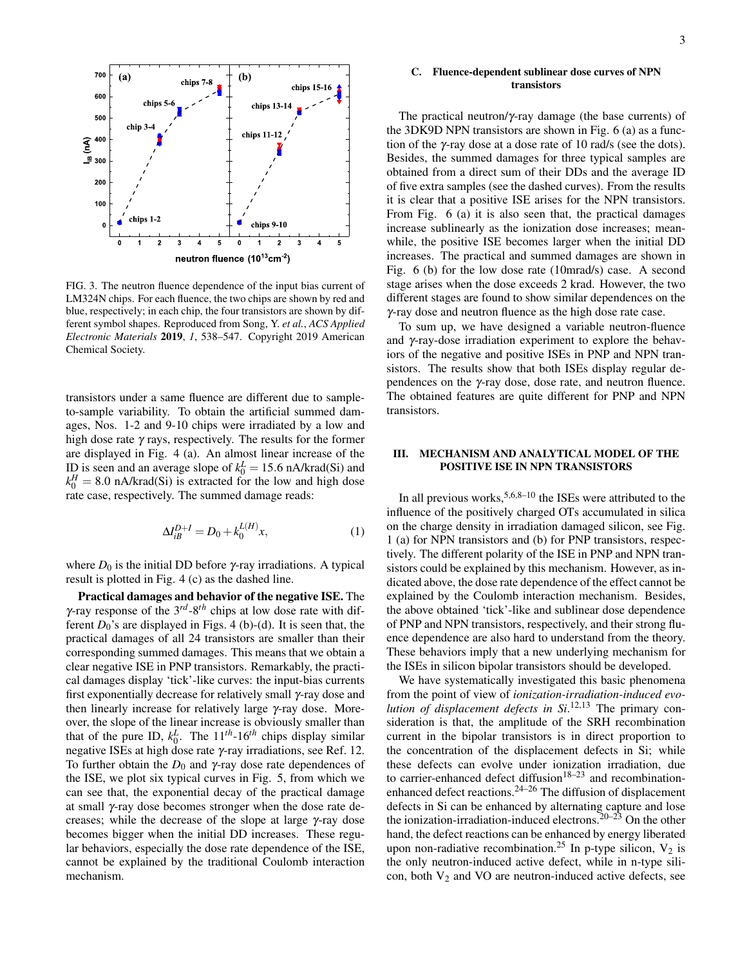

FIG. 3. The neutron fluence dependence of the input bias current of LM324N chips. For each fluence, the two chips are shown by red and blue, respectively; in each chip, the four transistors are shown by different symbol shapes. Reproduced from Song, Y. *et al.*, *ACS Applied Electronic Materials* 2019, *1*, 538–547. Copyright 2019 American Chemical Society.

transistors under a same fluence are different due to sampleto-sample variability. To obtain the artificial summed damages, Nos. 1-2 and 9-10 chips were irradiated by a low and high dose rate  $\gamma$  rays, respectively. The results for the former are displayed in Fig. 4 (a). An almost linear increase of the ID is seen and an average slope of  $k_0^L = 15.6$  nA/krad(Si) and  $k_0^H = 8.0$  nA/krad(Si) is extracted for the low and high dose rate case, respectively. The summed damage reads:

$$
\Delta I_{iB}^{D+I} = D_0 + k_0^{L(H)} x,\tag{1}
$$

where  $D_0$  is the initial DD before  $\gamma$ -ray irradiations. A typical result is plotted in Fig. 4 (c) as the dashed line.

Practical damages and behavior of the negative ISE. The γ-ray response of the 3*rd*-8*th* chips at low dose rate with different  $D_0$ 's are displayed in Figs. 4 (b)-(d). It is seen that, the practical damages of all 24 transistors are smaller than their corresponding summed damages. This means that we obtain a clear negative ISE in PNP transistors. Remarkably, the practical damages display 'tick'-like curves: the input-bias currents first exponentially decrease for relatively small γ-ray dose and then linearly increase for relatively large γ-ray dose. Moreover, the slope of the linear increase is obviously smaller than that of the pure ID,  $k_0^L$ . The  $11^{th}$ -16<sup>th</sup> chips display similar negative ISEs at high dose rate γ-ray irradiations, see Ref. 12. To further obtain the  $D_0$  and  $\gamma$ -ray dose rate dependences of the ISE, we plot six typical curves in Fig. 5, from which we can see that, the exponential decay of the practical damage at small γ-ray dose becomes stronger when the dose rate decreases; while the decrease of the slope at large γ-ray dose becomes bigger when the initial DD increases. These regular behaviors, especially the dose rate dependence of the ISE, cannot be explained by the traditional Coulomb interaction mechanism.

#### C. Fluence-dependent sublinear dose curves of NPN transistors

The practical neutron/ $\gamma$ -ray damage (the base currents) of the 3DK9D NPN transistors are shown in Fig. 6 (a) as a function of the γ-ray dose at a dose rate of 10 rad/s (see the dots). Besides, the summed damages for three typical samples are obtained from a direct sum of their DDs and the average ID of five extra samples (see the dashed curves). From the results it is clear that a positive ISE arises for the NPN transistors. From Fig. 6 (a) it is also seen that, the practical damages increase sublinearly as the ionization dose increases; meanwhile, the positive ISE becomes larger when the initial DD increases. The practical and summed damages are shown in Fig. 6 (b) for the low dose rate (10mrad/s) case. A second stage arises when the dose exceeds 2 krad. However, the two different stages are found to show similar dependences on the γ-ray dose and neutron fluence as the high dose rate case.

To sum up, we have designed a variable neutron-fluence and γ-ray-dose irradiation experiment to explore the behaviors of the negative and positive ISEs in PNP and NPN transistors. The results show that both ISEs display regular dependences on the γ-ray dose, dose rate, and neutron fluence. The obtained features are quite different for PNP and NPN transistors.

## III. MECHANISM AND ANALYTICAL MODEL OF THE POSITIVE ISE IN NPN TRANSISTORS

In all previous works,  $5,6,8-10$  the ISEs were attributed to the influence of the positively charged OTs accumulated in silica on the charge density in irradiation damaged silicon, see Fig. 1 (a) for NPN transistors and (b) for PNP transistors, respectively. The different polarity of the ISE in PNP and NPN transistors could be explained by this mechanism. However, as indicated above, the dose rate dependence of the effect cannot be explained by the Coulomb interaction mechanism. Besides, the above obtained 'tick'-like and sublinear dose dependence of PNP and NPN transistors, respectively, and their strong fluence dependence are also hard to understand from the theory. These behaviors imply that a new underlying mechanism for the ISEs in silicon bipolar transistors should be developed.

We have systematically investigated this basic phenomena from the point of view of *ionization-irradiation-induced evolution of displacement defects in Si*. 12,13 The primary consideration is that, the amplitude of the SRH recombination current in the bipolar transistors is in direct proportion to the concentration of the displacement defects in Si; while these defects can evolve under ionization irradiation, due to carrier-enhanced defect diffusion<sup>18–23</sup> and recombinationenhanced defect reactions.24–26 The diffusion of displacement defects in Si can be enhanced by alternating capture and lose the ionization-irradiation-induced electrons.<sup>20–23</sup> On the other hand, the defect reactions can be enhanced by energy liberated upon non-radiative recombination.<sup>25</sup> In p-type silicon,  $V_2$  is the only neutron-induced active defect, while in n-type silicon, both  $V_2$  and VO are neutron-induced active defects, see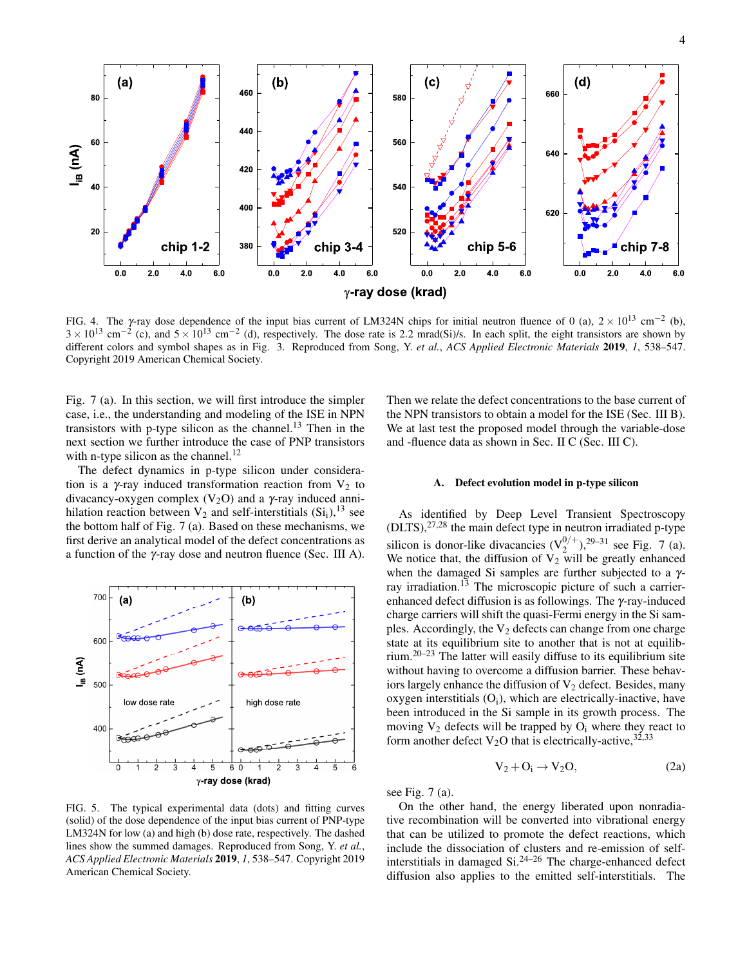

FIG. 4. The y-ray dose dependence of the input bias current of LM324N chips for initial neutron fluence of 0 (a),  $2 \times 10^{13}$  cm<sup>-2</sup> (b),  $3 \times 10^{13}$  cm<sup>-2</sup> (c), and  $5 \times 10^{13}$  cm<sup>-2</sup> (d), respectively. The dose rate is 2.2 mrad(Si)/s. In each split, the eight transistors are shown by different colors and symbol shapes as in Fig. 3. Reproduced from Song, Y. *et al.*, *ACS Applied Electronic Materials* 2019, *1*, 538–547. Copyright 2019 American Chemical Society.

Fig. 7 (a). In this section, we will first introduce the simpler case, i.e., the understanding and modeling of the ISE in NPN transistors with p-type silicon as the channel.<sup>13</sup> Then in the next section we further introduce the case of PNP transistors with n-type silicon as the channel.<sup>12</sup>

The defect dynamics in p-type silicon under consideration is a γ-ray induced transformation reaction from  $V_2$  to divacancy-oxygen complex  $(V_2O)$  and a  $\gamma$ -ray induced annihilation reaction between  $V_2$  and self-interstitials  $(Si_i)$ , <sup>13</sup> see the bottom half of Fig. 7 (a). Based on these mechanisms, we first derive an analytical model of the defect concentrations as a function of the γ-ray dose and neutron fluence (Sec. III A).



FIG. 5. The typical experimental data (dots) and fitting curves (solid) of the dose dependence of the input bias current of PNP-type LM324N for low (a) and high (b) dose rate, respectively. The dashed lines show the summed damages. Reproduced from Song, Y. *et al.*, *ACS Applied Electronic Materials* 2019, *1*, 538–547. Copyright 2019 American Chemical Society.

Then we relate the defect concentrations to the base current of the NPN transistors to obtain a model for the ISE (Sec. III B). We at last test the proposed model through the variable-dose and -fluence data as shown in Sec. II C (Sec. III C).

#### A. Defect evolution model in p-type silicon

As identified by Deep Level Transient Spectroscopy  $(DLTS)$ ,  $27,28$  the main defect type in neutron irradiated p-type silicon is donor-like divacancies  $(V_2^{0/+})$ , <sup>29–31</sup> see Fig. 7 (a). We notice that, the diffusion of  $V_2$  will be greatly enhanced when the damaged Si samples are further subjected to a γray irradiation.<sup>13</sup> The microscopic picture of such a carrierenhanced defect diffusion is as followings. The  $\gamma$ -ray-induced charge carriers will shift the quasi-Fermi energy in the Si samples. Accordingly, the  $V_2$  defects can change from one charge state at its equilibrium site to another that is not at equilibrium.20–23 The latter will easily diffuse to its equilibrium site without having to overcome a diffusion barrier. These behaviors largely enhance the diffusion of  $V_2$  defect. Besides, many oxygen interstitials  $(O<sub>i</sub>)$ , which are electrically-inactive, have been introduced in the Si sample in its growth process. The moving  $V_2$  defects will be trapped by  $O_i$  where they react to form another defect  $V_2O$  that is electrically-active,  $32,33$ 

$$
V_2 + O_i \to V_2O, \tag{2a}
$$

see Fig. 7 (a).

On the other hand, the energy liberated upon nonradiative recombination will be converted into vibrational energy that can be utilized to promote the defect reactions, which include the dissociation of clusters and re-emission of selfinterstitials in damaged Si.24–26 The charge-enhanced defect diffusion also applies to the emitted self-interstitials. The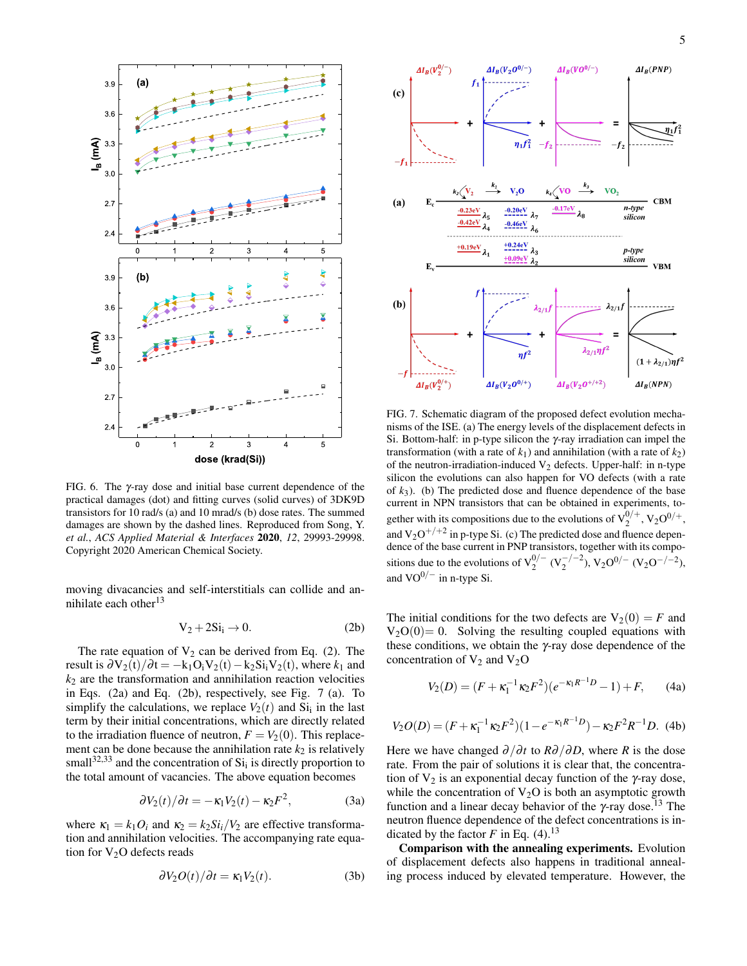

FIG. 6. The γ-ray dose and initial base current dependence of the practical damages (dot) and fitting curves (solid curves) of 3DK9D transistors for 10 rad/s (a) and 10 mrad/s (b) dose rates. The summed damages are shown by the dashed lines. Reproduced from Song, Y. *et al.*, *ACS Applied Material & Interfaces* 2020, *12*, 29993-29998. Copyright 2020 American Chemical Society.

moving divacancies and self-interstitials can collide and annihilate each other<sup>13</sup>

$$
V_2 + 2Si_i \to 0. \tag{2b}
$$

The rate equation of  $V_2$  can be derived from Eq. (2). The result is  $\partial V_2(t)/\partial t = -k_1O_iV_2(t)-k_2Si_iV_2(t)$ , where  $k_1$  and  $k<sub>2</sub>$  are the transformation and annihilation reaction velocities in Eqs. (2a) and Eq. (2b), respectively, see Fig. 7 (a). To simplify the calculations, we replace  $V_2(t)$  and  $Si_i$  in the last term by their initial concentrations, which are directly related to the irradiation fluence of neutron,  $F = V_2(0)$ . This replacement can be done because the annihilation rate  $k_2$  is relatively small<sup>32,33</sup> and the concentration of  $Si<sub>i</sub>$  is directly proportion to the total amount of vacancies. The above equation becomes

$$
\frac{\partial V_2(t)}{\partial t} = -\kappa_1 V_2(t) - \kappa_2 F^2,\tag{3a}
$$

where  $\kappa_1 = k_1 O_i$  and  $\kappa_2 = k_2 Si_i/V_2$  are effective transformation and annihilation velocities. The accompanying rate equation for  $V_2O$  defects reads

$$
\frac{\partial V_2 O(t)}{\partial t} = \kappa_1 V_2(t). \tag{3b}
$$



FIG. 7. Schematic diagram of the proposed defect evolution mechanisms of the ISE. (a) The energy levels of the displacement defects in Si. Bottom-half: in p-type silicon the γ-ray irradiation can impel the transformation (with a rate of  $k_1$ ) and annihilation (with a rate of  $k_2$ ) of the neutron-irradiation-induced  $V_2$  defects. Upper-half: in n-type silicon the evolutions can also happen for VO defects (with a rate of *k*3). (b) The predicted dose and fluence dependence of the base current in NPN transistors that can be obtained in experiments, together with its compositions due to the evolutions of  $V_2^{0/+}$ ,  $V_2O^{0/+}$ , and  $V_2O^{+/+2}$  in p-type Si. (c) The predicted dose and fluence dependence of the base current in PNP transistors, together with its compositions due to the evolutions of  $V_2^{0/-} (V_2^{-/-2})$ ,  $V_2 O^{0/-} (V_2 O^{-/-2})$ , and  $VO^{0/-}$  in n-type Si.

The initial conditions for the two defects are  $V_2(0) = F$  and  $V_2O(0)=0$ . Solving the resulting coupled equations with these conditions, we obtain the  $\gamma$ -ray dose dependence of the concentration of  $V_2$  and  $V_2O$ 

$$
V_2(D) = (F + \kappa_1^{-1} \kappa_2 F^2)(e^{-\kappa_1 R^{-1}D} - 1) + F, \qquad (4a)
$$

$$
V_2O(D) = (F + \kappa_1^{-1} \kappa_2 F^2)(1 - e^{-\kappa_1 R^{-1}D}) - \kappa_2 F^2 R^{-1}D.
$$
 (4b)

Here we have changed  $\partial/\partial t$  to  $R\partial/\partial D$ , where *R* is the dose rate. From the pair of solutions it is clear that, the concentration of  $V_2$  is an exponential decay function of the  $\gamma$ -ray dose, while the concentration of  $V_2O$  is both an asymptotic growth function and a linear decay behavior of the  $\gamma$ -ray dose.<sup>13</sup> The neutron fluence dependence of the defect concentrations is indicated by the factor  $F$  in Eq. (4).<sup>13</sup>

Comparison with the annealing experiments. Evolution of displacement defects also happens in traditional annealing process induced by elevated temperature. However, the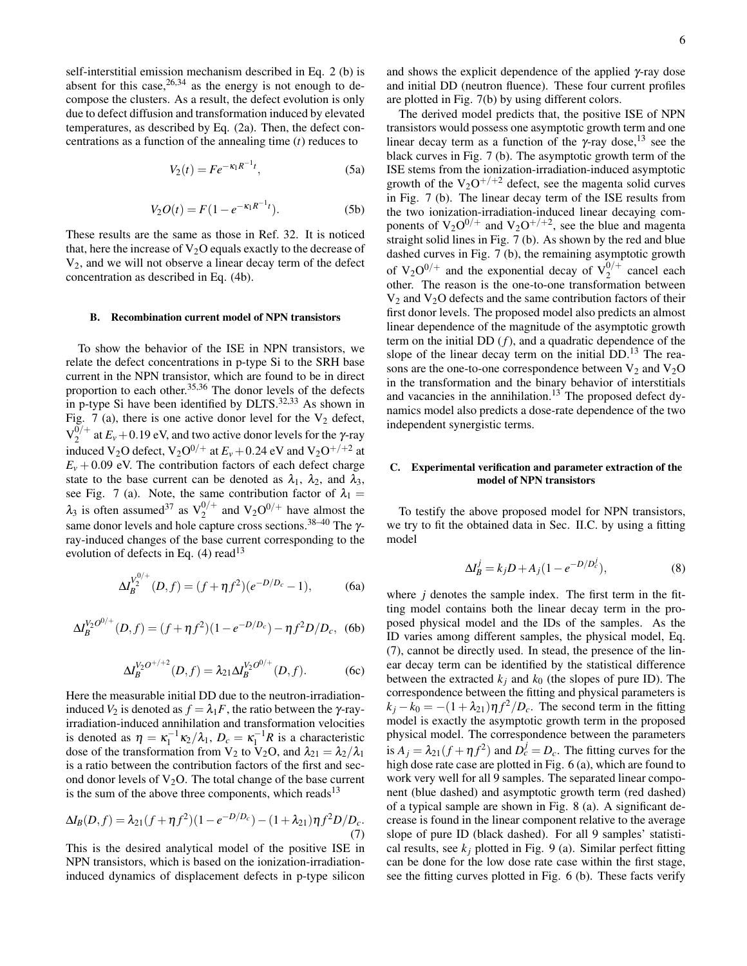self-interstitial emission mechanism described in Eq. 2 (b) is absent for this case,  $26,34$  as the energy is not enough to decompose the clusters. As a result, the defect evolution is only due to defect diffusion and transformation induced by elevated temperatures, as described by Eq. (2a). Then, the defect concentrations as a function of the annealing time (*t*) reduces to

$$
V_2(t) = Fe^{-\kappa_1 R^{-1}t},
$$
\n(5a)

$$
V_2O(t) = F(1 - e^{-\kappa_1 R^{-1}t}).
$$
 (5b)

These results are the same as those in Ref. 32. It is noticed that, here the increase of  $V_2O$  equals exactly to the decrease of  $V_2$ , and we will not observe a linear decay term of the defect concentration as described in Eq. (4b).

#### B. Recombination current model of NPN transistors

To show the behavior of the ISE in NPN transistors, we relate the defect concentrations in p-type Si to the SRH base current in the NPN transistor, which are found to be in direct proportion to each other.  $35,36$  The donor levels of the defects in p-type Si have been identified by DLTS.<sup>32,33</sup> As shown in Fig. 7 (a), there is one active donor level for the  $V_2$  defect,  ${\rm V}_2^{0/+}$  $2^{0/4}$  at  $E_v + 0.19$  eV, and two active donor levels for the *γ*-ray induced  $V_2O$  defect,  $V_2O^{0/+}$  at  $E_v + 0.24$  eV and  $V_2O^{+/+2}$  at  $E<sub>v</sub> + 0.09$  eV. The contribution factors of each defect charge state to the base current can be denoted as  $\lambda_1$ ,  $\lambda_2$ , and  $\lambda_3$ , see Fig. 7 (a). Note, the same contribution factor of  $\lambda_1 =$  $\lambda_3$  is often assumed<sup>37</sup> as  $V_2^{0/+}$  and  $V_2O^{0/+}$  have almost the same donor levels and hole capture cross sections.38–40 The γray-induced changes of the base current corresponding to the evolution of defects in Eq.  $(4)$  read<sup>13</sup>

$$
\Delta I_B^{V_2^{0/+}}(D,f) = (f + \eta f^2)(e^{-D/D_c} - 1),\tag{6a}
$$

$$
\Delta I_B^{V_2O^{0/+}}(D,f) = (f + \eta f^2)(1 - e^{-D/D_c}) - \eta f^2 D/D_c, \text{ (6b)}
$$

$$
\Delta I_B^{V_2O^{+/+2}}(D,f) = \lambda_{21} \Delta I_B^{V_2O^{0/+}}(D,f). \tag{6c}
$$

Here the measurable initial DD due to the neutron-irradiationinduced  $V_2$  is denoted as  $f = \lambda_1 F$ , the ratio between the  $\gamma$ -rayirradiation-induced annihilation and transformation velocities is denoted as  $\eta = \kappa_1^{-1} \kappa_2 / \lambda_1$ ,  $D_c = \kappa_1^{-1} R$  is a characteristic dose of the transformation from V<sub>2</sub> to V<sub>2</sub>O, and  $\lambda_{21} = \lambda_2/\lambda_1$ is a ratio between the contribution factors of the first and second donor levels of  $V_2O$ . The total change of the base current is the sum of the above three components, which reads<sup>13</sup>

$$
\Delta I_B(D, f) = \lambda_{21}(f + \eta f^2)(1 - e^{-D/D_c}) - (1 + \lambda_{21})\eta f^2 D/D_c.
$$
\n(7)

This is the desired analytical model of the positive ISE in NPN transistors, which is based on the ionization-irradiationinduced dynamics of displacement defects in p-type silicon and shows the explicit dependence of the applied  $\gamma$ -ray dose and initial DD (neutron fluence). These four current profiles are plotted in Fig. 7(b) by using different colors.

The derived model predicts that, the positive ISE of NPN transistors would possess one asymptotic growth term and one linear decay term as a function of the  $\gamma$ -ray dose,<sup>13</sup> see the black curves in Fig. 7 (b). The asymptotic growth term of the ISE stems from the ionization-irradiation-induced asymptotic growth of the  $V_2O^{+/+2}$  defect, see the magenta solid curves in Fig. 7 (b). The linear decay term of the ISE results from the two ionization-irradiation-induced linear decaying components of  $V_2O^{0/+}$  and  $V_2O^{+/+2}$ , see the blue and magenta straight solid lines in Fig. 7 (b). As shown by the red and blue dashed curves in Fig. 7 (b), the remaining asymptotic growth of  $V_2O^{0/+}$  and the exponential decay of  $V_2^{0/+}$  cancel each other. The reason is the one-to-one transformation between  $V_2$  and  $V_2O$  defects and the same contribution factors of their first donor levels. The proposed model also predicts an almost linear dependence of the magnitude of the asymptotic growth term on the initial DD (*f*), and a quadratic dependence of the slope of the linear decay term on the initial  $DD<sup>13</sup>$ . The reasons are the one-to-one correspondence between  $V_2$  and  $V_2O$ in the transformation and the binary behavior of interstitials and vacancies in the annihilation.<sup>13</sup> The proposed defect dynamics model also predicts a dose-rate dependence of the two independent synergistic terms.

#### C. Experimental verification and parameter extraction of the model of NPN transistors

To testify the above proposed model for NPN transistors, we try to fit the obtained data in Sec. II.C. by using a fitting model

$$
\Delta I_B^j = k_j D + A_j (1 - e^{-D/D_c^j}), \tag{8}
$$

where *j* denotes the sample index. The first term in the fitting model contains both the linear decay term in the proposed physical model and the IDs of the samples. As the ID varies among different samples, the physical model, Eq. (7), cannot be directly used. In stead, the presence of the linear decay term can be identified by the statistical difference between the extracted  $k_j$  and  $k_0$  (the slopes of pure ID). The correspondence between the fitting and physical parameters is  $k_j - k_0 = -(1 + \lambda_{21}) \eta f^2 / D_c$ . The second term in the fitting model is exactly the asymptotic growth term in the proposed physical model. The correspondence between the parameters is  $A_j = \lambda_{21}(f + \eta f^2)$  and  $D_c^j = D_c$ . The fitting curves for the high dose rate case are plotted in Fig. 6 (a), which are found to work very well for all 9 samples. The separated linear component (blue dashed) and asymptotic growth term (red dashed) of a typical sample are shown in Fig. 8 (a). A significant decrease is found in the linear component relative to the average slope of pure ID (black dashed). For all 9 samples' statistical results, see  $k_j$  plotted in Fig. 9 (a). Similar perfect fitting can be done for the low dose rate case within the first stage, see the fitting curves plotted in Fig. 6 (b). These facts verify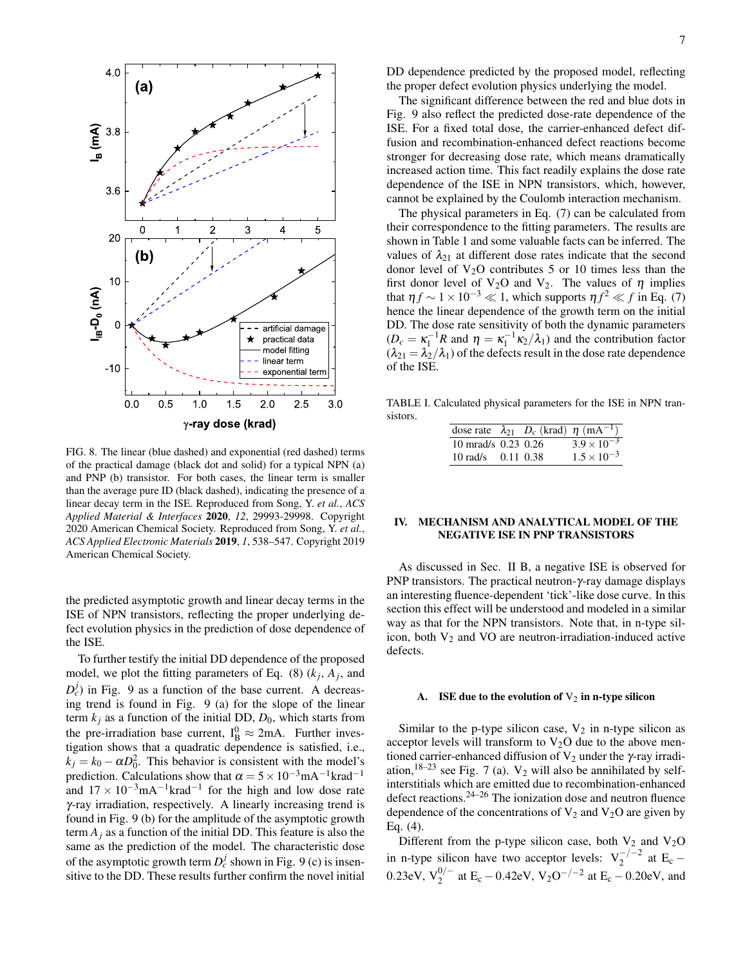

FIG. 8. The linear (blue dashed) and exponential (red dashed) terms of the practical damage (black dot and solid) for a typical NPN (a) and PNP (b) transistor. For both cases, the linear term is smaller than the average pure ID (black dashed), indicating the presence of a linear decay term in the ISE. Reproduced from Song, Y. *et al.*, *ACS Applied Material & Interfaces* 2020, *12*, 29993-29998. Copyright 2020 American Chemical Society. Reproduced from Song, Y. *et al.*, *ACS Applied Electronic Materials* 2019, *1*, 538–547. Copyright 2019 American Chemical Society.

the predicted asymptotic growth and linear decay terms in the ISE of NPN transistors, reflecting the proper underlying defect evolution physics in the prediction of dose dependence of the ISE.

To further testify the initial DD dependence of the proposed model, we plot the fitting parameters of Eq.  $(8)$   $(k_j, A_j,$  and  $D_c^j$ ) in Fig. 9 as a function of the base current. A decreasing trend is found in Fig. 9 (a) for the slope of the linear term  $k_j$  as a function of the initial DD,  $D_0$ , which starts from the pre-irradiation base current,  $I_B^0 \approx 2mA$ . Further investigation shows that a quadratic dependence is satisfied, i.e.,  $k_j = k_0 - \alpha D_0^2$ . This behavior is consistent with the model's prediction. Calculations show that  $\alpha = 5 \times 10^{-3}$ mA<sup>-1</sup>krad<sup>-1</sup> and  $17 \times 10^{-3}$  mA<sup>-1</sup> krad<sup>-1</sup> for the high and low dose rate γ-ray irradiation, respectively. A linearly increasing trend is found in Fig. 9 (b) for the amplitude of the asymptotic growth term  $A_i$  as a function of the initial DD. This feature is also the same as the prediction of the model. The characteristic dose of the asymptotic growth term  $D_c^j$  shown in Fig. 9 (c) is insensitive to the DD. These results further confirm the novel initial DD dependence predicted by the proposed model, reflecting the proper defect evolution physics underlying the model.

The significant difference between the red and blue dots in Fig. 9 also reflect the predicted dose-rate dependence of the ISE. For a fixed total dose, the carrier-enhanced defect diffusion and recombination-enhanced defect reactions become stronger for decreasing dose rate, which means dramatically increased action time. This fact readily explains the dose rate dependence of the ISE in NPN transistors, which, however, cannot be explained by the Coulomb interaction mechanism.

The physical parameters in Eq. (7) can be calculated from their correspondence to the fitting parameters. The results are shown in Table 1 and some valuable facts can be inferred. The values of  $\lambda_{21}$  at different dose rates indicate that the second donor level of  $V_2O$  contributes 5 or 10 times less than the first donor level of V<sub>2</sub>O and V<sub>2</sub>. The values of  $\eta$  implies that  $\eta f \sim 1 \times 10^{-3} \ll 1$ , which supports  $\eta f^2 \ll f$  in Eq. (7) hence the linear dependence of the growth term on the initial DD. The dose rate sensitivity of both the dynamic parameters  $(D_c = \kappa_1^{-1} R$  and  $\eta = \kappa_1^{-1} \kappa_2 / \lambda_1$  and the contribution factor  $(\lambda_{21} = \lambda_2/\lambda_1)$  of the defects result in the dose rate dependence of the ISE.

TABLE I. Calculated physical parameters for the ISE in NPN transistors.

|                        |  | dose rate $\lambda_{21}$ $D_c$ (krad) $\eta$ (mA <sup>-1</sup> ) |
|------------------------|--|------------------------------------------------------------------|
| 10 mrad/s $0.23$ 0.26  |  | $3.9 \times 10^{-3}$                                             |
| 10 rad/s $0.11$ $0.38$ |  | $1.5 \times 10^{-3}$                                             |

## IV. MECHANISM AND ANALYTICAL MODEL OF THE NEGATIVE ISE IN PNP TRANSISTORS

As discussed in Sec. II B, a negative ISE is observed for PNP transistors. The practical neutron- $\gamma$ -ray damage displays an interesting fluence-dependent 'tick'-like dose curve. In this section this effect will be understood and modeled in a similar way as that for the NPN transistors. Note that, in n-type silicon, both  $V_2$  and VO are neutron-irradiation-induced active defects.

#### A. ISE due to the evolution of  $V_2$  in n-type silicon

Similar to the p-type silicon case,  $V_2$  in n-type silicon as acceptor levels will transform to  $V_2O$  due to the above mentioned carrier-enhanced diffusion of  $V_2$  under the  $\gamma$ -ray irradiation,<sup>18–23</sup> see Fig. 7 (a).  $V_2$  will also be annihilated by selfinterstitials which are emitted due to recombination-enhanced defect reactions.24–26 The ionization dose and neutron fluence dependence of the concentrations of  $V_2$  and  $V_2O$  are given by Eq. (4).

Different from the p-type silicon case, both  $V_2$  and  $V_2O$ in n-type silicon have two acceptor levels:  $V_2^{-/-2}$  at E<sub>c</sub> – 0.23eV,  $V_2^{0/-}$  at E<sub>c</sub> – 0.42eV, V<sub>2</sub>O<sup>-/-2</sup> at E<sub>c</sub> – 0.20eV, and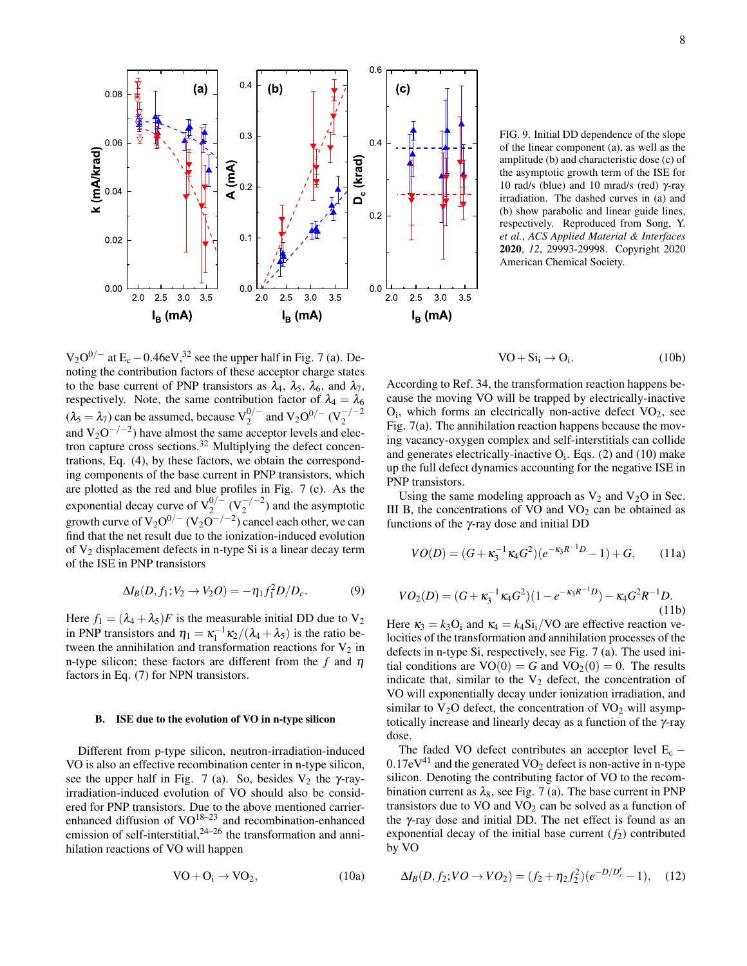FIG. 9. Initial DD dependence of the slope of the linear component (a), as well as the amplitude (b) and characteristic dose (c) of the asymptotic growth term of the ISE for 10 rad/s (blue) and 10 mrad/s (red)  $γ$ -ray irradiation. The dashed curves in (a) and (b) show parabolic and linear guide lines, respectively. Reproduced from Song, Y. *et al.*, *ACS Applied Material & Interfaces* 2020, *12*, 29993-29998. Copyright 2020 American Chemical Society.



According to Ref. 34, the transformation reaction happens because the moving VO will be trapped by electrically-inactive  $O_i$ , which forms an electrically non-active defect  $VO_2$ , see Fig. 7(a). The annihilation reaction happens because the moving vacancy-oxygen complex and self-interstitials can collide and generates electrically-inactive  $O_i$ . Eqs. (2) and (10) make up the full defect dynamics accounting for the negative ISE in PNP transistors.

and  $V<sub>2</sub>O$  in Sec. an be obtained as

$$
VO(D) = (G + \kappa_3^{-1} \kappa_4 G^2)(e^{-\kappa_3 R^{-1}D} - 1) + G, \qquad (11a)
$$

$$
VO_2(D) = (G + \kappa_3^{-1} \kappa_4 G^2)(1 - e^{-\kappa_3 R^{-1}D}) - \kappa_4 G^2 R^{-1}D.
$$
\n(11b)

Here  $\kappa_3 = k_3 \text{O}_i$  and  $\kappa_4 = k_4 \text{Si}_i / \text{VO}$  are effective reaction velocities of the transformation and annihilation processes of the defects in n-type Si, respectively, see Fig. 7 (a). The used initial conditions are  $VO(0) = G$  and  $VO<sub>2</sub>(0) = 0$ . The results indicate that, similar to the  $V_2$  defect, the concentration of VO will exponentially decay under ionization irradiation, and similar to  $V_2O$  defect, the concentration of  $VO_2$  will asymptotically increase and linearly decay as a function of the γ-ray dose.

The faded VO defect contributes an acceptor level  $E_c$  −  $0.17 \text{eV}^{41}$  and the generated VO<sub>2</sub> defect is non-active in n-type silicon. Denoting the contributing factor of VO to the recombination current as  $\lambda_8$ , see Fig. 7 (a). The base current in PNP transistors due to  $VO$  and  $VO<sub>2</sub>$  can be solved as a function of the γ-ray dose and initial DD. The net effect is found as an exponential decay of the initial base current  $(f_2)$  contributed by VO

 $\Delta I_B(D, f_2; VO \to VO_2) = (f_2 + \eta_2 f_2^2)(e^{-D/D_c'} - 1),$  (12)

$$
VO + O_i \rightarrow VO_2, \tag{10a}
$$

functions of the γ-ray dose and initial DD

$$
\Delta I_B(D, f_1; V_2 \to V_2O) = -\eta_1 f_1^2 D/D_c.
$$
 (9)

Here  $f_1 = (\lambda_4 + \lambda_5)F$  is the measurable initial DD due to V<sub>2</sub> in PNP transistors and  $\eta_1 = \kappa_1^{-1} \kappa_2 / (\lambda_4 + \lambda_5)$  is the ratio between the annihilation and transformation reactions for  $V_2$  in n-type silicon; these factors are different from the  $f$  and  $\eta$ factors in Eq. (7) for NPN transistors.

 $V_2O^{0/-}$  at  $E_c - 0.46eV^{32}$  see the upper half in Fig. 7 (a). Denoting the contribution factors of these acceptor charge states to the base current of PNP transistors as  $\lambda_4$ ,  $\lambda_5$ ,  $\lambda_6$ , and  $\lambda_7$ , respectively. Note, the same contribution factor of  $\lambda_4 = \lambda_6$  $(\lambda_5 = \lambda_7)$  can be assumed, because  $V_2^{0/-}$  and  $V_2O^{0/-} (V_2^{-/-2})$ and  $V_2O^{-/-2}$ ) have almost the same acceptor levels and electron capture cross sections.<sup>32</sup> Multiplying the defect concentrations, Eq. (4), by these factors, we obtain the corresponding components of the base current in PNP transistors, which

#### B. ISE due to the evolution of VO in n-type silicon

Different from p-type silicon, neutron-irradiation-induced VO is also an effective recombination center in n-type silicon, see the upper half in Fig. 7 (a). So, besides  $V_2$  the  $\gamma$ -rayirradiation-induced evolution of VO should also be considered for PNP transistors. Due to the above mentioned carrierenhanced diffusion of  $VO^{18-23}$  and recombination-enhanced emission of self-interstitial, $24-26$  the transformation and annihilation reactions of VO will happen

are plotted as the red and blue profiles in Fig. 7 (c). As the exponential decay curve of 
$$
V_2^{0/-} (V_2^{-/-2})
$$
 and the asymptotic growth curve of  $V_2O^{0/-} (V_2O^{-/-2})$  cancel each other, we can find that the net result due to the ionization-induced evolution of  $V_2$  displacement defects in n-type Si is a linear decay term of the ISE in PNP transistors

$$
\frac{1}{\frac{1}{2}} = \frac{1}{2}
$$
\n
$$
\frac{1}{2} = \frac{1}{2}
$$
\n
$$
\frac{1}{2} = \frac{1}{2}
$$
\n
$$
\frac{1}{2} = \frac{1}{2}
$$
\n
$$
\frac{1}{2} = \frac{1}{2}
$$
\n
$$
\frac{1}{2} = \frac{1}{2}
$$
\n
$$
\frac{1}{2} = \frac{1}{2}
$$
\n
$$
\frac{1}{2} = \frac{1}{2}
$$
\n
$$
\frac{1}{2} = \frac{1}{2}
$$
\n
$$
\frac{1}{2} = \frac{1}{2}
$$
\n
$$
\frac{1}{2} = \frac{1}{2}
$$
\n
$$
\frac{1}{2} = \frac{1}{2}
$$
\n
$$
\frac{1}{2} = \frac{1}{2}
$$
\n
$$
\frac{1}{2} = \frac{1}{2}
$$
\n
$$
\frac{1}{2} = \frac{1}{2}
$$
\n
$$
\frac{1}{2} = \frac{1}{2}
$$
\n
$$
\frac{1}{2} = \frac{1}{2}
$$
\n
$$
\frac{1}{2} = \frac{1}{2}
$$
\n
$$
\frac{1}{2} = \frac{1}{2}
$$
\n
$$
\frac{1}{2} = \frac{1}{2}
$$
\n
$$
\frac{1}{2} = \frac{1}{2}
$$
\n
$$
\frac{1}{2} = \frac{1}{2}
$$
\n
$$
\frac{1}{2} = \frac{1}{2}
$$
\n
$$
\frac{1}{2} = \frac{1}{2}
$$
\n
$$
\frac{1}{2} = \frac{1}{2}
$$
\n
$$
\frac{1}{2} = \frac{1}{2}
$$
\n
$$
\frac{1}{2} = \frac{1}{2}
$$
\n
$$
\frac{1}{2} = \frac{1}{2}
$$
\n
$$
\frac{1}{2} = \frac{1}{2}
$$
\n
$$
\frac{1}{2} = \frac{1}{2}
$$
\n
$$
\frac{1}{2} = \frac{1}{2}
$$
\n
$$
\frac{1}{2} = \frac{1}{2}
$$
\n
$$
\frac{1}{2} = \frac{1}{2}
$$
\n<

. . .

(a)

0.6

(b)  $\frac{1}{1}$   $\sqrt{7}$  (c)

0.08

exponen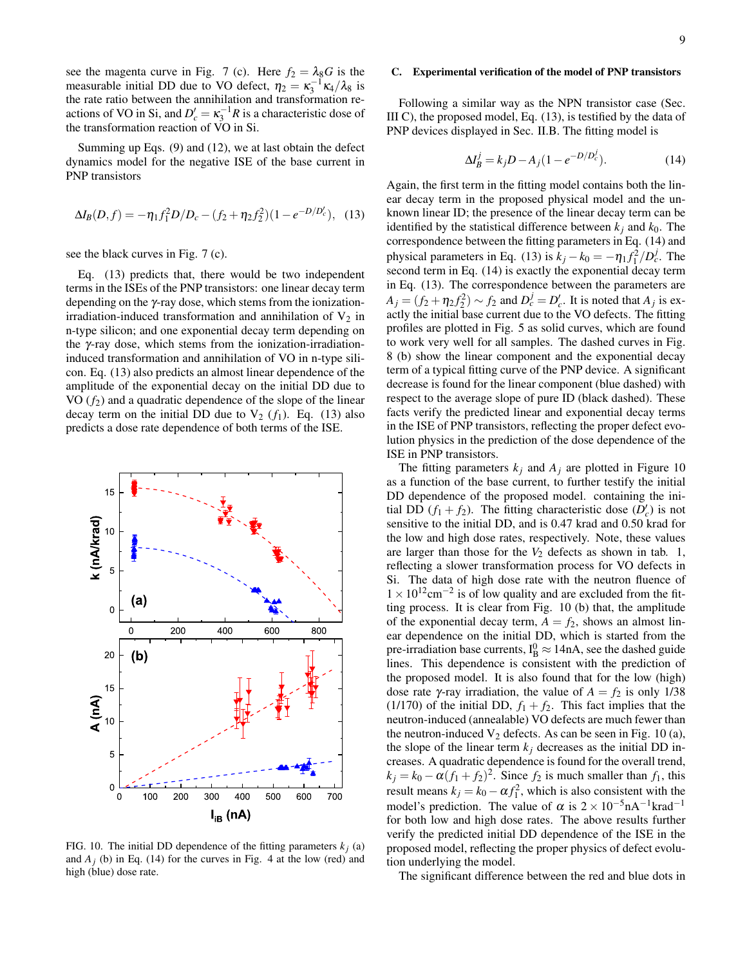see the magenta curve in Fig. 7 (c). Here  $f_2 = \lambda_8 G$  is the measurable initial DD due to VO defect,  $\eta_2 = \kappa_3^{-1} \kappa_4 / \lambda_8$  is the rate ratio between the annihilation and transformation reactions of VO in Si, and  $D'_c = \kappa_3^{-1}R$  is a characteristic dose of the transformation reaction of VO in Si.

Summing up Eqs. (9) and (12), we at last obtain the defect dynamics model for the negative ISE of the base current in PNP transistors

$$
\Delta I_B(D, f) = -\eta_1 f_1^2 D/D_c - (f_2 + \eta_2 f_2^2)(1 - e^{-D/D_c}), \quad (13)
$$

see the black curves in Fig. 7 (c).

Eq. (13) predicts that, there would be two independent terms in the ISEs of the PNP transistors: one linear decay term depending on the γ-ray dose, which stems from the ionizationirradiation-induced transformation and annihilation of  $V_2$  in n-type silicon; and one exponential decay term depending on the γ-ray dose, which stems from the ionization-irradiationinduced transformation and annihilation of VO in n-type silicon. Eq. (13) also predicts an almost linear dependence of the amplitude of the exponential decay on the initial DD due to VO  $(f_2)$  and a quadratic dependence of the slope of the linear decay term on the initial DD due to  $V_2$  ( $f_1$ ). Eq. (13) also predicts a dose rate dependence of both terms of the ISE.



FIG. 10. The initial DD dependence of the fitting parameters  $k_i$  (a) and  $A_j$  (b) in Eq. (14) for the curves in Fig. 4 at the low (red) and high (blue) dose rate.

## C. Experimental verification of the model of PNP transistors

Following a similar way as the NPN transistor case (Sec. III C), the proposed model, Eq. (13), is testified by the data of PNP devices displayed in Sec. II.B. The fitting model is

$$
\Delta I_B^j = k_j D - A_j (1 - e^{-D/D_c^j}).
$$
\n(14)

Again, the first term in the fitting model contains both the linear decay term in the proposed physical model and the unknown linear ID; the presence of the linear decay term can be identified by the statistical difference between  $k_i$  and  $k_0$ . The correspondence between the fitting parameters in Eq. (14) and physical parameters in Eq. (13) is  $k_j - k_0 = -\eta_1 f_1^2 / D_c^j$ . The second term in Eq. (14) is exactly the exponential decay term in Eq. (13). The correspondence between the parameters are  $A_j = (f_2 + \eta_2 f_2^2) \sim f_2$  and  $D_c^j = D_c^j$ . It is noted that  $A_j$  is exactly the initial base current due to the VO defects. The fitting profiles are plotted in Fig. 5 as solid curves, which are found to work very well for all samples. The dashed curves in Fig. 8 (b) show the linear component and the exponential decay term of a typical fitting curve of the PNP device. A significant decrease is found for the linear component (blue dashed) with respect to the average slope of pure ID (black dashed). These facts verify the predicted linear and exponential decay terms in the ISE of PNP transistors, reflecting the proper defect evolution physics in the prediction of the dose dependence of the ISE in PNP transistors.

The fitting parameters  $k_j$  and  $A_j$  are plotted in Figure 10 as a function of the base current, to further testify the initial DD dependence of the proposed model. containing the initial DD  $(f_1 + f_2)$ . The fitting characteristic dose  $(D'_c)$  is not sensitive to the initial DD, and is 0.47 krad and 0.50 krad for the low and high dose rates, respectively. Note, these values are larger than those for the  $V_2$  defects as shown in tab. 1, reflecting a slower transformation process for VO defects in Si. The data of high dose rate with the neutron fluence of  $1 \times 10^{12}$ cm<sup>-2</sup> is of low quality and are excluded from the fitting process. It is clear from Fig. 10 (b) that, the amplitude of the exponential decay term,  $A = f_2$ , shows an almost linear dependence on the initial DD, which is started from the pre-irradiation base currents,  $I_B^0 \approx 14nA$ , see the dashed guide lines. This dependence is consistent with the prediction of the proposed model. It is also found that for the low (high) dose rate γ-ray irradiation, the value of  $A = f_2$  is only 1/38 (1/170) of the initial DD,  $f_1 + f_2$ . This fact implies that the neutron-induced (annealable) VO defects are much fewer than the neutron-induced  $V_2$  defects. As can be seen in Fig. 10 (a), the slope of the linear term  $k_j$  decreases as the initial DD increases. A quadratic dependence is found for the overall trend,  $k_j = k_0 - \alpha (f_1 + f_2)^2$ . Since  $f_2$  is much smaller than  $f_1$ , this result means  $k_j = k_0 - \alpha f_1^2$ , which is also consistent with the model's prediction. The value of  $\alpha$  is  $2 \times 10^{-5}$ nA<sup>-1</sup>krad<sup>-1</sup> for both low and high dose rates. The above results further verify the predicted initial DD dependence of the ISE in the proposed model, reflecting the proper physics of defect evolution underlying the model.

The significant difference between the red and blue dots in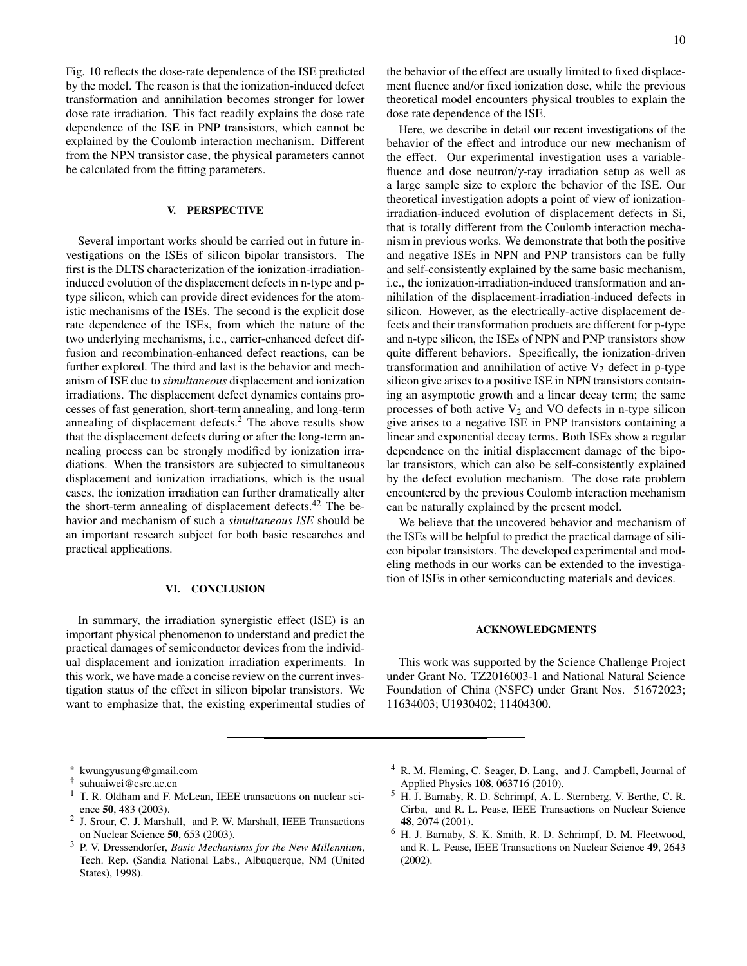Fig. 10 reflects the dose-rate dependence of the ISE predicted by the model. The reason is that the ionization-induced defect transformation and annihilation becomes stronger for lower dose rate irradiation. This fact readily explains the dose rate dependence of the ISE in PNP transistors, which cannot be explained by the Coulomb interaction mechanism. Different from the NPN transistor case, the physical parameters cannot be calculated from the fitting parameters.

#### V. PERSPECTIVE

Several important works should be carried out in future investigations on the ISEs of silicon bipolar transistors. The first is the DLTS characterization of the ionization-irradiationinduced evolution of the displacement defects in n-type and ptype silicon, which can provide direct evidences for the atomistic mechanisms of the ISEs. The second is the explicit dose rate dependence of the ISEs, from which the nature of the two underlying mechanisms, i.e., carrier-enhanced defect diffusion and recombination-enhanced defect reactions, can be further explored. The third and last is the behavior and mechanism of ISE due to *simultaneous* displacement and ionization irradiations. The displacement defect dynamics contains processes of fast generation, short-term annealing, and long-term annealing of displacement defects.<sup>2</sup> The above results show that the displacement defects during or after the long-term annealing process can be strongly modified by ionization irradiations. When the transistors are subjected to simultaneous displacement and ionization irradiations, which is the usual cases, the ionization irradiation can further dramatically alter the short-term annealing of displacement defects.<sup>42</sup> The behavior and mechanism of such a *simultaneous ISE* should be an important research subject for both basic researches and practical applications.

#### VI. CONCLUSION

In summary, the irradiation synergistic effect (ISE) is an important physical phenomenon to understand and predict the practical damages of semiconductor devices from the individual displacement and ionization irradiation experiments. In this work, we have made a concise review on the current investigation status of the effect in silicon bipolar transistors. We want to emphasize that, the existing experimental studies of the behavior of the effect are usually limited to fixed displacement fluence and/or fixed ionization dose, while the previous theoretical model encounters physical troubles to explain the dose rate dependence of the ISE.

Here, we describe in detail our recent investigations of the behavior of the effect and introduce our new mechanism of the effect. Our experimental investigation uses a variablefluence and dose neutron/γ-ray irradiation setup as well as a large sample size to explore the behavior of the ISE. Our theoretical investigation adopts a point of view of ionizationirradiation-induced evolution of displacement defects in Si, that is totally different from the Coulomb interaction mechanism in previous works. We demonstrate that both the positive and negative ISEs in NPN and PNP transistors can be fully and self-consistently explained by the same basic mechanism, i.e., the ionization-irradiation-induced transformation and annihilation of the displacement-irradiation-induced defects in silicon. However, as the electrically-active displacement defects and their transformation products are different for p-type and n-type silicon, the ISEs of NPN and PNP transistors show quite different behaviors. Specifically, the ionization-driven transformation and annihilation of active  $V_2$  defect in p-type silicon give arises to a positive ISE in NPN transistors containing an asymptotic growth and a linear decay term; the same processes of both active  $V_2$  and VO defects in n-type silicon give arises to a negative ISE in PNP transistors containing a linear and exponential decay terms. Both ISEs show a regular dependence on the initial displacement damage of the bipolar transistors, which can also be self-consistently explained by the defect evolution mechanism. The dose rate problem encountered by the previous Coulomb interaction mechanism can be naturally explained by the present model.

We believe that the uncovered behavior and mechanism of the ISEs will be helpful to predict the practical damage of silicon bipolar transistors. The developed experimental and modeling methods in our works can be extended to the investigation of ISEs in other semiconducting materials and devices.

## ACKNOWLEDGMENTS

This work was supported by the Science Challenge Project under Grant No. TZ2016003-1 and National Natural Science Foundation of China (NSFC) under Grant Nos. 51672023; 11634003; U1930402; 11404300.

- 2 J. Srour, C. J. Marshall, and P. W. Marshall, IEEE Transactions on Nuclear Science 50, 653 (2003).
- <sup>3</sup> P. V. Dressendorfer, *Basic Mechanisms for the New Millennium*, Tech. Rep. (Sandia National Labs., Albuquerque, NM (United States), 1998).
- <sup>4</sup> R. M. Fleming, C. Seager, D. Lang, and J. Campbell, Journal of Applied Physics 108, 063716 (2010).
- <sup>5</sup> H. J. Barnaby, R. D. Schrimpf, A. L. Sternberg, V. Berthe, C. R. Cirba, and R. L. Pease, IEEE Transactions on Nuclear Science 48, 2074 (2001).
- <sup>6</sup> H. J. Barnaby, S. K. Smith, R. D. Schrimpf, D. M. Fleetwood, and R. L. Pease, IEEE Transactions on Nuclear Science 49, 2643 (2002).

<sup>∗</sup> kwungyusung@gmail.com

<sup>†</sup> suhuaiwei@csrc.ac.cn

<sup>&</sup>lt;sup>1</sup> T. R. Oldham and F. McLean, IEEE transactions on nuclear science 50, 483 (2003).